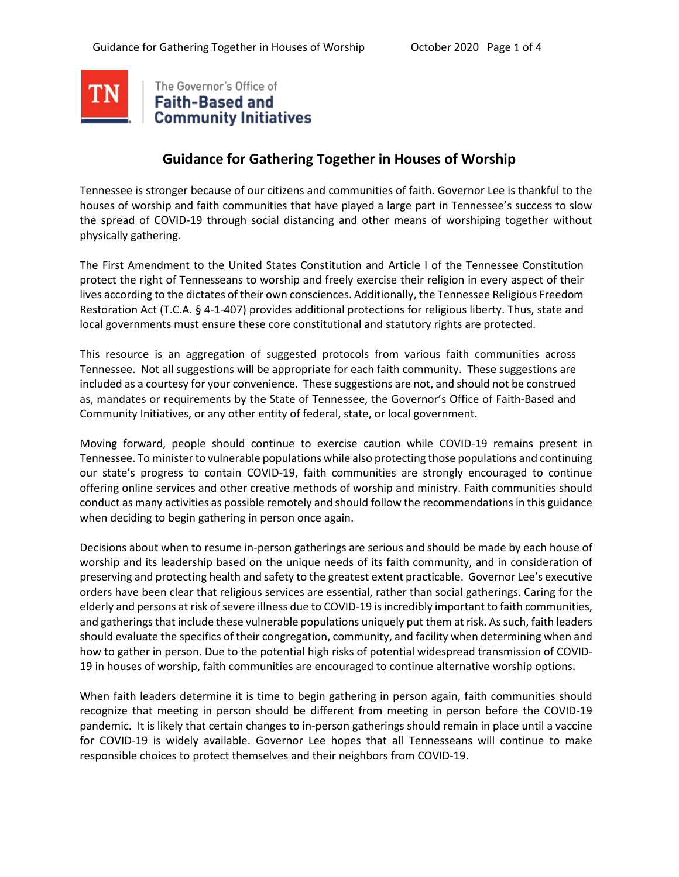

# **Guidance for Gathering Together in Houses of Worship**

Tennessee is stronger because of our citizens and communities of faith. Governor Lee is thankful to the houses of worship and faith communities that have played a large part in Tennessee's success to slow the spread of COVID-19 through social distancing and other means of worshiping together without physically gathering.

The First Amendment to the United States Constitution and Article I of the Tennessee Constitution protect the right of Tennesseans to worship and freely exercise their religion in every aspect of their lives according to the dictates of their own consciences. Additionally, the Tennessee Religious Freedom Restoration Act (T.C.A. § 4-1-407) provides additional protections for religious liberty. Thus, state and local governments must ensure these core constitutional and statutory rights are protected.

This resource is an aggregation of suggested protocols from various faith communities across Tennessee. Not all suggestions will be appropriate for each faith community. These suggestions are included as a courtesy for your convenience. These suggestions are not, and should not be construed as, mandates or requirements by the State of Tennessee, the Governor's Office of Faith-Based and Community Initiatives, or any other entity of federal, state, or local government.

Moving forward, people should continue to exercise caution while COVID-19 remains present in Tennessee. To minister to vulnerable populations while also protecting those populations and continuing our state's progress to contain COVID-19, faith communities are strongly encouraged to continue offering online services and other creative methods of worship and ministry. Faith communities should conduct as many activities as possible remotely and should follow the recommendations in this guidance when deciding to begin gathering in person once again.

Decisions about when to resume in-person gatherings are serious and should be made by each house of worship and its leadership based on the unique needs of its faith community, and in consideration of preserving and protecting health and safety to the greatest extent practicable. Governor Lee's executive orders have been clear that religious services are essential, rather than social gatherings. Caring for the elderly and persons at risk of severe illness due to COVID-19 is incredibly important to faith communities, and gatherings that include these vulnerable populations uniquely put them at risk. As such, faith leaders should evaluate the specifics of their congregation, community, and facility when determining when and how to gather in person. Due to the potential high risks of potential widespread transmission of COVID-19 in houses of worship, faith communities are encouraged to continue alternative worship options.

When faith leaders determine it is time to begin gathering in person again, faith communities should recognize that meeting in person should be different from meeting in person before the COVID-19 pandemic. It is likely that certain changes to in-person gatherings should remain in place until a vaccine for COVID-19 is widely available. Governor Lee hopes that all Tennesseans will continue to make responsible choices to protect themselves and their neighbors from COVID-19.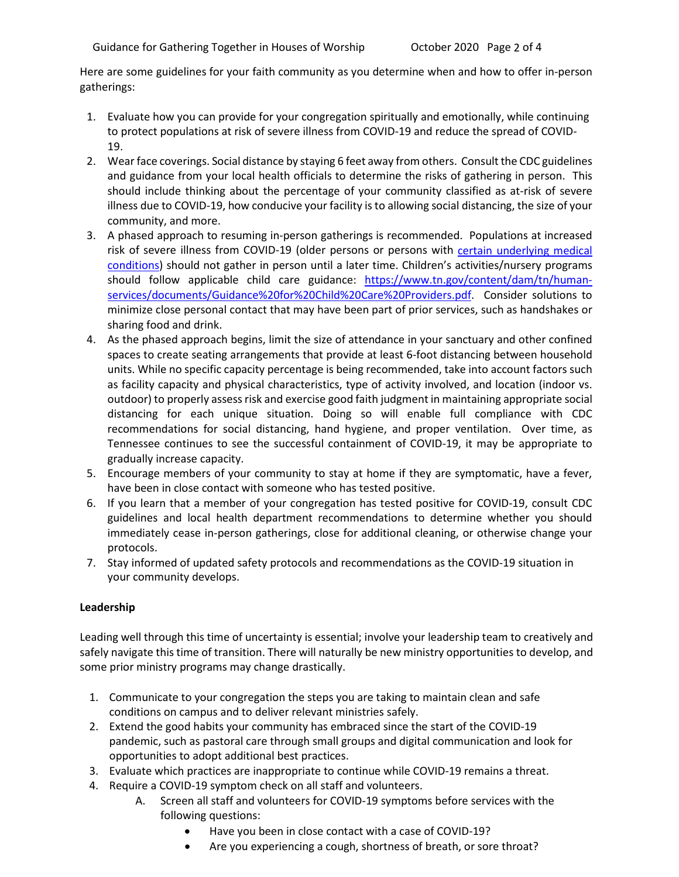Here are some guidelines for your faith community as you determine when and how to offer in-person gatherings:

- 1. Evaluate how you can provide for your congregation spiritually and emotionally, while continuing to protect populations at risk of severe illness from COVID-19 and reduce the spread of COVID-19.
- 2. Wear face coverings. Social distance by staying 6 feet away from others. Consult the CDC guidelines and guidance from your local health officials to determine the risks of gathering in person. This should include thinking about the percentage of your community classified as at-risk of severe illness due to COVID-19, how conducive your facility is to allowing social distancing, the size of your community, and more.
- 3. A phased approach to resuming in-person gatherings is recommended. Populations at increased risk of severe illness from COVID-19 (older persons or persons with [certain underlying medical](https://www.cdc.gov/coronavirus/2019-ncov/need-extra-precautions/people-with-medical-conditions.html)  [conditions\)](https://www.cdc.gov/coronavirus/2019-ncov/need-extra-precautions/people-with-medical-conditions.html) should not gather in person until a later time. Children's activities/nursery programs should follow applicable child care guidance: [https://www.tn.gov/content/dam/tn/human](https://www.tn.gov/content/dam/tn/human-services/documents/Guidance%20for%20Child%20Care%20Providers.pdf)[services/documents/Guidance%20for%20Child%20Care%20Providers.pdf.](https://www.tn.gov/content/dam/tn/human-services/documents/Guidance%20for%20Child%20Care%20Providers.pdf) Consider solutions to minimize close personal contact that may have been part of prior services, such as handshakes or sharing food and drink.
- 4. As the phased approach begins, limit the size of attendance in your sanctuary and other confined spaces to create seating arrangements that provide at least 6-foot distancing between household units. While no specific capacity percentage is being recommended, take into account factors such as facility capacity and physical characteristics, type of activity involved, and location (indoor vs. outdoor) to properly assess risk and exercise good faith judgment in maintaining appropriate social distancing for each unique situation. Doing so will enable full compliance with CDC recommendations for social distancing, hand hygiene, and proper ventilation. Over time, as Tennessee continues to see the successful containment of COVID-19, it may be appropriate to gradually increase capacity.
- 5. Encourage members of your community to stay at home if they are symptomatic, have a fever, have been in close contact with someone who has tested positive.
- 6. If you learn that a member of your congregation has tested positive for COVID-19, consult CDC guidelines and local health department recommendations to determine whether you should immediately cease in-person gatherings, close for additional cleaning, or otherwise change your protocols.
- 7. Stay informed of updated safety protocols and recommendations as the COVID-19 situation in your community develops.

## **Leadership**

Leading well through this time of uncertainty is essential; involve your leadership team to creatively and safely navigate this time of transition. There will naturally be new ministry opportunities to develop, and some prior ministry programs may change drastically.

- 1. Communicate to your congregation the steps you are taking to maintain clean and safe conditions on campus and to deliver relevant ministries safely.
- 2. Extend the good habits your community has embraced since the start of the COVID-19 pandemic, such as pastoral care through small groups and digital communication and look for opportunities to adopt additional best practices.
- 3. Evaluate which practices are inappropriate to continue while COVID-19 remains a threat.
- 4. Require a COVID-19 symptom check on all staff and volunteers.
	- A. Screen all staff and volunteers for COVID-19 symptoms before services with the following questions:
		- Have you been in close contact with a case of COVID-19?
		- Are you experiencing a cough, shortness of breath, or sore throat?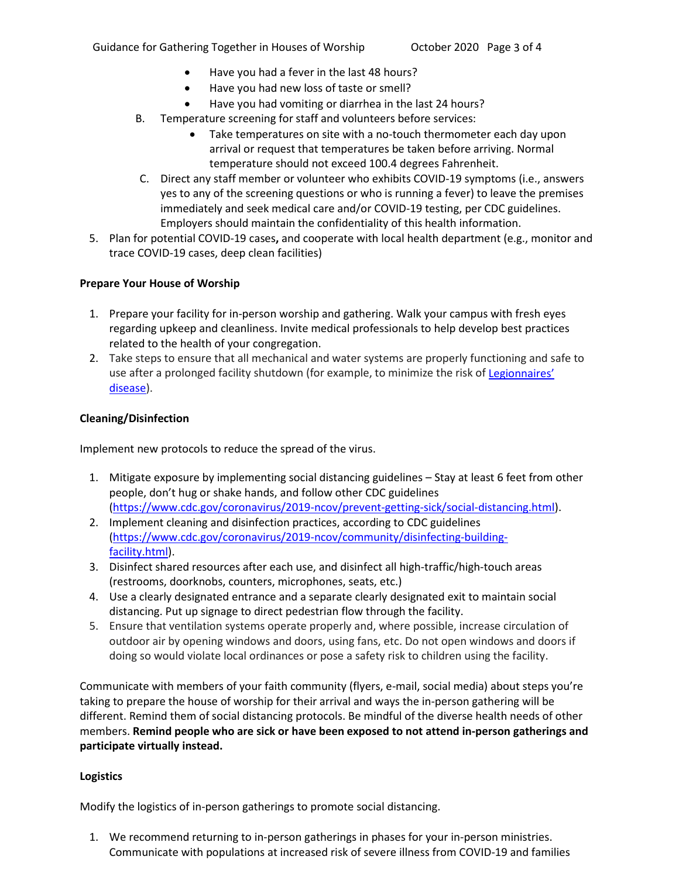- Have you had a fever in the last 48 hours?
- Have you had new loss of taste or smell?
- Have you had vomiting or diarrhea in the last 24 hours?
- B. Temperature screening for staff and volunteers before services:
	- Take temperatures on site with a no-touch thermometer each day upon arrival or request that temperatures be taken before arriving. Normal temperature should not exceed 100.4 degrees Fahrenheit.
- C. Direct any staff member or volunteer who exhibits COVID-19 symptoms (i.e., answers yes to any of the screening questions or who is running a fever) to leave the premises immediately and seek medical care and/or COVID-19 testing, per CDC guidelines. Employers should maintain the confidentiality of this health information.
- 5. Plan for potential COVID-19 cases**,** and cooperate with local health department (e.g., monitor and trace COVID-19 cases, deep clean facilities)

## **Prepare Your House of Worship**

- 1. Prepare your facility for in-person worship and gathering. Walk your campus with fresh eyes regarding upkeep and cleanliness. Invite medical professionals to help develop best practices related to the health of your congregation.
- 2. Take steps to ensure that all mechanical and water systems are properly functioning and safe to use after a prolonged facility shutdown (for example, to minimize the risk of Legionnaires' [disease\)](https://www.cdc.gov/legionella/about/index.html).

#### **Cleaning/Disinfection**

Implement new protocols to reduce the spread of the virus.

- 1. Mitigate exposure by implementing social distancing guidelines Stay at least 6 feet from other people, don't hug or shake hands, and follow other CDC guidelines [\(https://www.cdc.gov/coronavirus/2019-ncov/prevent-getting-sick/social-distancing.html\).](https://www.cdc.gov/coronavirus/2019-ncov/prevent-getting-sick/social-distancing.html)
- 2. Implement cleaning and disinfection practices, according to CDC guidelines [\(https://www.cdc.gov/coronavirus/2019-ncov/community/disinfecting-building](https://www.cdc.gov/coronavirus/2019-ncov/community/disinfecting-building-facility.html)[facility.html\).](https://www.cdc.gov/coronavirus/2019-ncov/community/disinfecting-building-facility.html)
- 3. Disinfect shared resources after each use, and disinfect all high-traffic/high-touch areas (restrooms, doorknobs, counters, microphones, seats, etc.)
- 4. Use a clearly designated entrance and a separate clearly designated exit to maintain social distancing. Put up signage to direct pedestrian flow through the facility.
- 5. Ensure that ventilation systems operate properly and, where possible, increase circulation of outdoor air by opening windows and doors, using fans, etc. Do not open windows and doors if doing so would violate local ordinances or pose a safety risk to children using the facility.

Communicate with members of your faith community (flyers, e-mail, social media) about steps you're taking to prepare the house of worship for their arrival and ways the in-person gathering will be different. Remind them of social distancing protocols. Be mindful of the diverse health needs of other members. **Remind people who are sick or have been exposed to not attend in-person gatherings and participate virtually instead.**

#### **Logistics**

Modify the logistics of in-person gatherings to promote social distancing.

1. We recommend returning to in-person gatherings in phases for your in-person ministries. Communicate with populations at increased risk of severe illness from COVID-19 and families